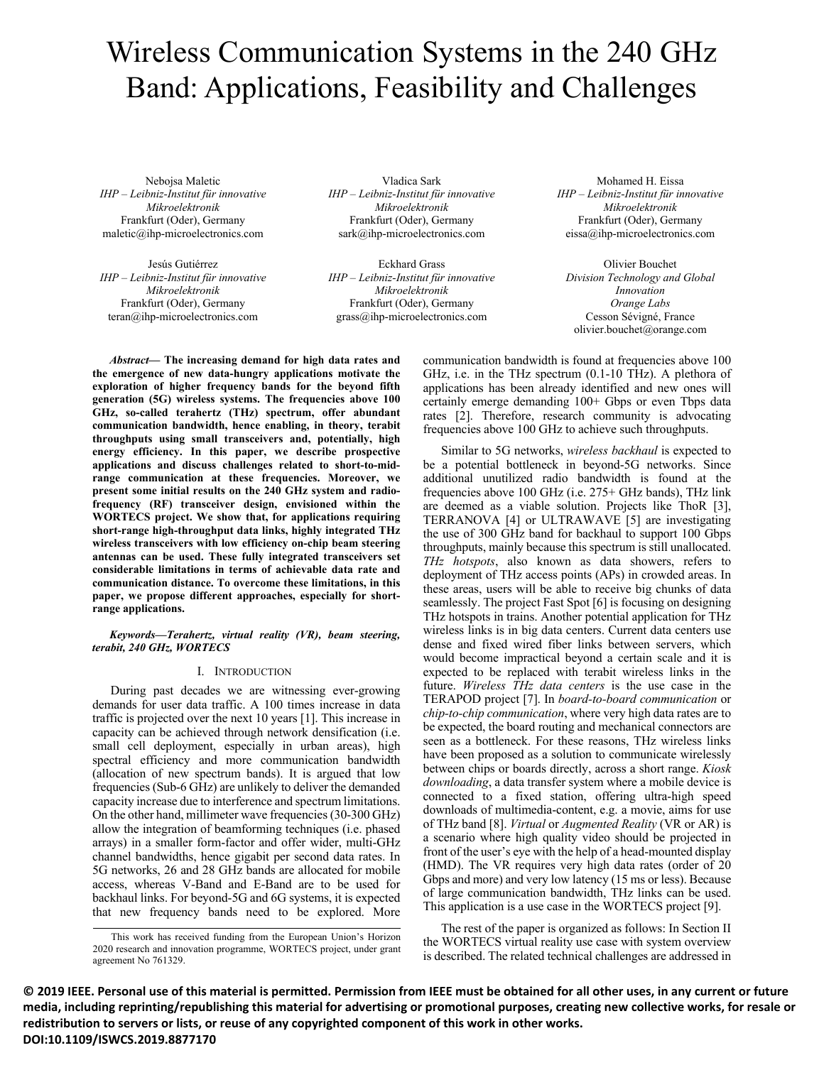# Wireless Communication Systems in the 240 GHz Band: Applications, Feasibility and Challenges

Nebojsa Maletic *IHP – Leibniz-Institut für innovative Mikroelektronik*  Frankfurt (Oder), Germany maletic@ihp-microelectronics.com

Jesús Gutiérrez *IHP – Leibniz-Institut für innovative Mikroelektronik* Frankfurt (Oder), Germany teran@ihp-microelectronics.com

Vladica Sark *IHP – Leibniz-Institut für innovative Mikroelektronik*  Frankfurt (Oder), Germany sark@ihp-microelectronics.com

Eckhard Grass *IHP – Leibniz-Institut für innovative Mikroelektronik* Frankfurt (Oder), Germany grass@ihp-microelectronics.com

Mohamed H. Eissa *IHP – Leibniz-Institut für innovative Mikroelektronik* Frankfurt (Oder), Germany eissa@ihp-microelectronics.com

Olivier Bouchet *Division Technology and Global Innovation Orange Labs*  Cesson Sévigné, France olivier.bouchet@orange.com

*Abstract***— The increasing demand for high data rates and the emergence of new data-hungry applications motivate the exploration of higher frequency bands for the beyond fifth generation (5G) wireless systems. The frequencies above 100 GHz, so-called terahertz (THz) spectrum, offer abundant communication bandwidth, hence enabling, in theory, terabit throughputs using small transceivers and, potentially, high energy efficiency. In this paper, we describe prospective applications and discuss challenges related to short-to-midrange communication at these frequencies. Moreover, we present some initial results on the 240 GHz system and radiofrequency (RF) transceiver design, envisioned within the WORTECS project. We show that, for applications requiring short-range high-throughput data links, highly integrated THz wireless transceivers with low efficiency on-chip beam steering antennas can be used. These fully integrated transceivers set considerable limitations in terms of achievable data rate and communication distance. To overcome these limitations, in this paper, we propose different approaches, especially for shortrange applications.**

## *Keywords—Terahertz, virtual reality (VR), beam steering, terabit, 240 GHz, WORTECS*

# I. INTRODUCTION

During past decades we are witnessing ever-growing demands for user data traffic. A 100 times increase in data traffic is projected over the next 10 years [1]. This increase in capacity can be achieved through network densification (i.e. small cell deployment, especially in urban areas), high spectral efficiency and more communication bandwidth (allocation of new spectrum bands). It is argued that low frequencies (Sub-6 GHz) are unlikely to deliver the demanded capacity increase due to interference and spectrum limitations. On the other hand, millimeter wave frequencies (30-300 GHz) allow the integration of beamforming techniques (i.e. phased arrays) in a smaller form-factor and offer wider, multi-GHz channel bandwidths, hence gigabit per second data rates. In 5G networks, 26 and 28 GHz bands are allocated for mobile access, whereas V-Band and E-Band are to be used for backhaul links. For beyond-5G and 6G systems, it is expected that new frequency bands need to be explored. More communication bandwidth is found at frequencies above 100 GHz, i.e. in the THz spectrum (0.1-10 THz). A plethora of applications has been already identified and new ones will certainly emerge demanding 100+ Gbps or even Tbps data rates [2]. Therefore, research community is advocating frequencies above 100 GHz to achieve such throughputs.

Similar to 5G networks, *wireless backhaul* is expected to be a potential bottleneck in beyond-5G networks. Since additional unutilized radio bandwidth is found at the frequencies above 100 GHz (i.e. 275+ GHz bands), THz link are deemed as a viable solution. Projects like ThoR [3], TERRANOVA [4] or ULTRAWAVE [5] are investigating the use of 300 GHz band for backhaul to support 100 Gbps throughputs, mainly because this spectrum is still unallocated. *THz hotspots*, also known as data showers, refers to deployment of THz access points (APs) in crowded areas. In these areas, users will be able to receive big chunks of data seamlessly. The project Fast Spot [6] is focusing on designing THz hotspots in trains. Another potential application for THz wireless links is in big data centers. Current data centers use dense and fixed wired fiber links between servers, which would become impractical beyond a certain scale and it is expected to be replaced with terabit wireless links in the future. *Wireless THz data centers* is the use case in the TERAPOD project [7]. In *board-to-board communication* or *chip-to-chip communication*, where very high data rates are to be expected, the board routing and mechanical connectors are seen as a bottleneck. For these reasons, THz wireless links have been proposed as a solution to communicate wirelessly between chips or boards directly, across a short range. *Kiosk downloading*, a data transfer system where a mobile device is connected to a fixed station, offering ultra-high speed downloads of multimedia-content, e.g. a movie, aims for use of THz band [8]. *Virtual* or *Augmented Reality* (VR or AR) is a scenario where high quality video should be projected in front of the user's eye with the help of a head-mounted display (HMD). The VR requires very high data rates (order of 20 Gbps and more) and very low latency (15 ms or less). Because of large communication bandwidth, THz links can be used. This application is a use case in the WORTECS project [9].

The rest of the paper is organized as follows: In Section II the WORTECS virtual reality use case with system overview is described. The related technical challenges are addressed in

**© 2019 IEEE. Personal use of this material is permitted. Permission from IEEE must be obtained for all other uses, in any current or future media, including reprinting/republishing this material for advertising or promotional purposes, creating new collective works, for resale or redistribution to servers or lists, or reuse of any copyrighted component of this work in other works. DOI:10.1109/ISWCS.2019.8877170**

This work has received funding from the European Union's Horizon 2020 research and innovation programme, WORTECS project, under grant agreement No 761329.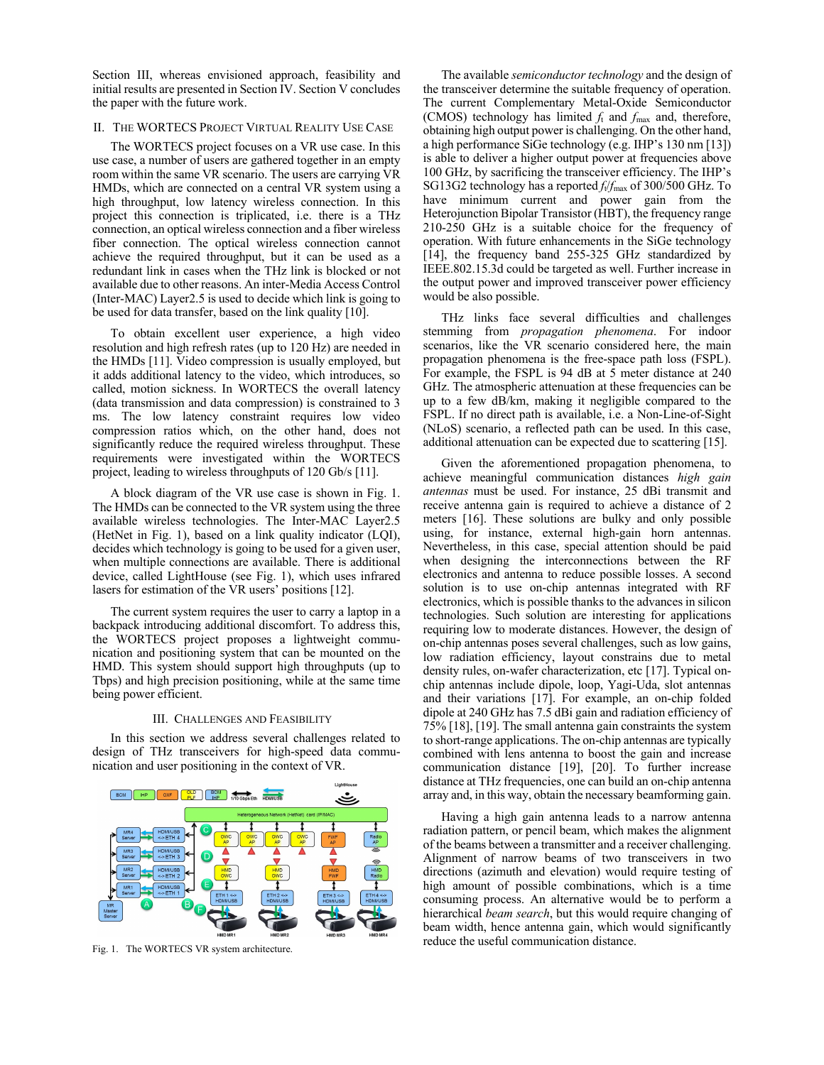Section III, whereas envisioned approach, feasibility and initial results are presented in Section IV. Section V concludes the paper with the future work.

# II. THE WORTECS PROJECT VIRTUAL REALITY USE CASE

The WORTECS project focuses on a VR use case. In this use case, a number of users are gathered together in an empty room within the same VR scenario. The users are carrying VR HMDs, which are connected on a central VR system using a high throughput, low latency wireless connection. In this project this connection is triplicated, i.e. there is a THz connection, an optical wireless connection and a fiber wireless fiber connection. The optical wireless connection cannot achieve the required throughput, but it can be used as a redundant link in cases when the THz link is blocked or not available due to other reasons. An inter-Media Access Control (Inter-MAC) Layer2.5 is used to decide which link is going to be used for data transfer, based on the link quality [10].

To obtain excellent user experience, a high video resolution and high refresh rates (up to 120 Hz) are needed in the HMDs [11]. Video compression is usually employed, but it adds additional latency to the video, which introduces, so called, motion sickness. In WORTECS the overall latency (data transmission and data compression) is constrained to 3 ms. The low latency constraint requires low video compression ratios which, on the other hand, does not significantly reduce the required wireless throughput. These requirements were investigated within the WORTECS project, leading to wireless throughputs of 120 Gb/s [11].

A block diagram of the VR use case is shown in Fig. 1. The HMDs can be connected to the VR system using the three available wireless technologies. The Inter-MAC Layer2.5 (HetNet in Fig. 1), based on a link quality indicator (LQI), decides which technology is going to be used for a given user, when multiple connections are available. There is additional device, called LightHouse (see Fig. 1), which uses infrared lasers for estimation of the VR users' positions [12].

The current system requires the user to carry a laptop in a backpack introducing additional discomfort. To address this, the WORTECS project proposes a lightweight communication and positioning system that can be mounted on the HMD. This system should support high throughputs (up to Tbps) and high precision positioning, while at the same time being power efficient.

#### III. CHALLENGES AND FEASIBILITY

In this section we address several challenges related to design of THz transceivers for high-speed data communication and user positioning in the context of VR.



Fig. 1. The WORTECS VR system architecture.

The available *semiconductor technology* and the design of the transceiver determine the suitable frequency of operation. The current Complementary Metal-Oxide Semiconductor (CMOS) technology has limited *f*t and *f*max and, therefore, obtaining high output power is challenging. On the other hand, a high performance SiGe technology (e.g. IHP's 130 nm [13]) is able to deliver a higher output power at frequencies above 100 GHz, by sacrificing the transceiver efficiency. The IHP's SG13G2 technology has a reported *f*t/*f*max of 300/500 GHz. To have minimum current and power gain from the Heterojunction Bipolar Transistor (HBT), the frequency range 210-250 GHz is a suitable choice for the frequency of operation. With future enhancements in the SiGe technology [14], the frequency band 255-325 GHz standardized by IEEE.802.15.3d could be targeted as well. Further increase in the output power and improved transceiver power efficiency would be also possible.

THz links face several difficulties and challenges stemming from *propagation phenomena*. For indoor scenarios, like the VR scenario considered here, the main propagation phenomena is the free-space path loss (FSPL). For example, the FSPL is 94 dB at 5 meter distance at 240 GHz. The atmospheric attenuation at these frequencies can be up to a few dB/km, making it negligible compared to the FSPL. If no direct path is available, i.e. a Non-Line-of-Sight (NLoS) scenario, a reflected path can be used. In this case, additional attenuation can be expected due to scattering [15].

Given the aforementioned propagation phenomena, to achieve meaningful communication distances *high gain antennas* must be used. For instance, 25 dBi transmit and receive antenna gain is required to achieve a distance of 2 meters [16]. These solutions are bulky and only possible using, for instance, external high-gain horn antennas. Nevertheless, in this case, special attention should be paid when designing the interconnections between the RF electronics and antenna to reduce possible losses. A second solution is to use on-chip antennas integrated with RF electronics, which is possible thanks to the advances in silicon technologies. Such solution are interesting for applications requiring low to moderate distances. However, the design of on-chip antennas poses several challenges, such as low gains, low radiation efficiency, layout constrains due to metal density rules, on-wafer characterization, etc [17]. Typical onchip antennas include dipole, loop, Yagi-Uda, slot antennas and their variations [17]. For example, an on-chip folded dipole at 240 GHz has 7.5 dBi gain and radiation efficiency of 75% [18], [19]. The small antenna gain constraints the system to short-range applications. The on-chip antennas are typically combined with lens antenna to boost the gain and increase communication distance [19], [20]. To further increase distance at THz frequencies, one can build an on-chip antenna array and, in this way, obtain the necessary beamforming gain.

Having a high gain antenna leads to a narrow antenna radiation pattern, or pencil beam, which makes the alignment of the beams between a transmitter and a receiver challenging. Alignment of narrow beams of two transceivers in two directions (azimuth and elevation) would require testing of high amount of possible combinations, which is a time consuming process. An alternative would be to perform a hierarchical *beam search*, but this would require changing of beam width, hence antenna gain, which would significantly reduce the useful communication distance.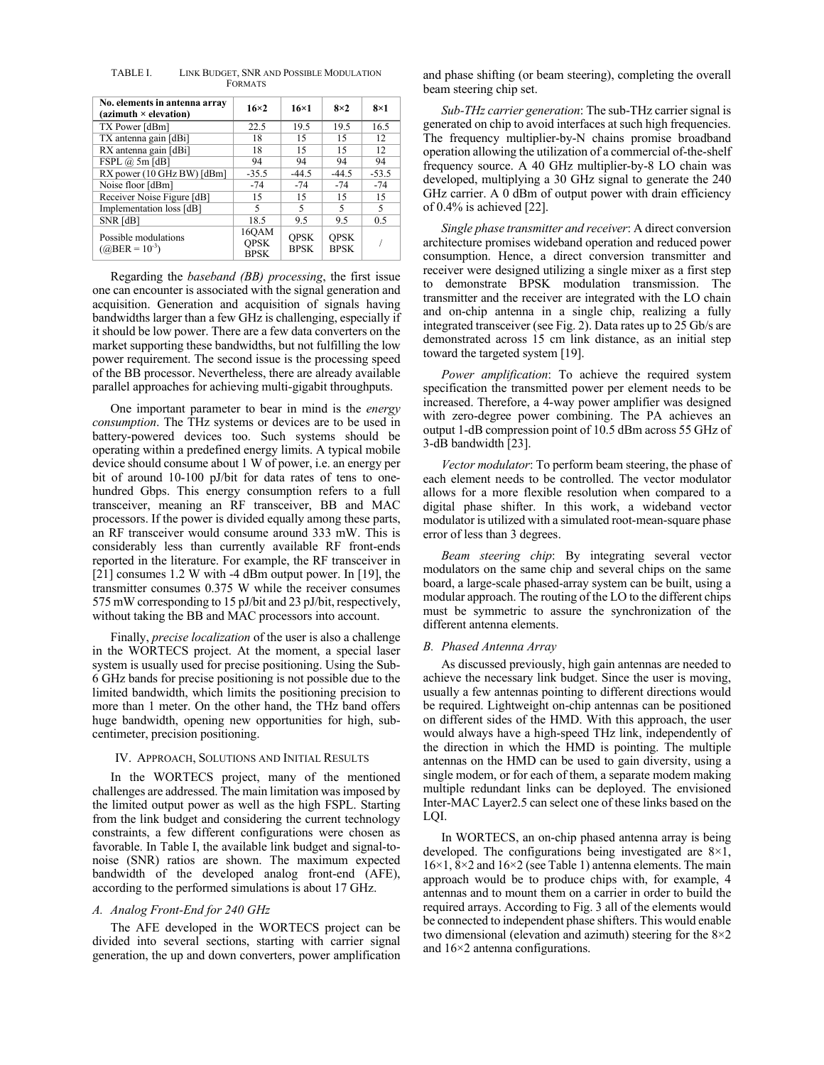| No. elements in antenna array<br>$(azimuth \times elevation)$ | $16\times2$                         | $16\times1$                | $8\times2$                 | $8\times1$ |
|---------------------------------------------------------------|-------------------------------------|----------------------------|----------------------------|------------|
| TX Power [dBm]                                                | 22.5                                | 19.5                       | 19.5                       | 16.5       |
| TX antenna gain [dBi]                                         | 18                                  | 15                         | 15                         | 12         |
| RX antenna gain [dBi]                                         | 18                                  | 15                         | 15                         | 12.        |
| FSPL @ 5m [dB]                                                | 94                                  | 94                         | 94                         | 94         |
| RX power (10 GHz BW) [dBm]                                    | $-35.5$                             | $-44.5$                    | $-44.5$                    | $-53.5$    |
| Noise floor [dBm]                                             | $-74$                               | $-74$                      | $-74$                      | $-74$      |
| Receiver Noise Figure [dB]                                    | 15                                  | 15                         | 15                         | 15         |
| Implementation loss [dB]                                      | 5                                   | 5                          | 5                          | 5          |
| SNR [dB]                                                      | 18.5                                | 9.5                        | 9.5                        | 0.5        |
| Possible modulations<br>$(QBER = 10^{-3})$                    | 160AM<br><b>OPSK</b><br><b>BPSK</b> | <b>OPSK</b><br><b>BPSK</b> | <b>OPSK</b><br><b>BPSK</b> |            |

TABLE I. LINK BUDGET, SNR AND POSSIBLE MODULATION FORMATS

Regarding the *baseband (BB) processing*, the first issue one can encounter is associated with the signal generation and acquisition. Generation and acquisition of signals having bandwidths larger than a few GHz is challenging, especially if it should be low power. There are a few data converters on the market supporting these bandwidths, but not fulfilling the low power requirement. The second issue is the processing speed of the BB processor. Nevertheless, there are already available parallel approaches for achieving multi-gigabit throughputs.

One important parameter to bear in mind is the *energy consumption*. The THz systems or devices are to be used in battery-powered devices too. Such systems should be operating within a predefined energy limits. A typical mobile device should consume about 1 W of power, i.e. an energy per bit of around 10-100 pJ/bit for data rates of tens to onehundred Gbps. This energy consumption refers to a full transceiver, meaning an RF transceiver, BB and MAC processors. If the power is divided equally among these parts, an RF transceiver would consume around 333 mW. This is considerably less than currently available RF front-ends reported in the literature. For example, the RF transceiver in [21] consumes 1.2 W with -4 dBm output power. In [19], the transmitter consumes 0.375 W while the receiver consumes 575 mW corresponding to 15 pJ/bit and 23 pJ/bit, respectively, without taking the BB and MAC processors into account.

Finally, *precise localization* of the user is also a challenge in the WORTECS project. At the moment, a special laser system is usually used for precise positioning. Using the Sub-6 GHz bands for precise positioning is not possible due to the limited bandwidth, which limits the positioning precision to more than 1 meter. On the other hand, the THz band offers huge bandwidth, opening new opportunities for high, subcentimeter, precision positioning.

#### IV. APPROACH, SOLUTIONS AND INITIAL RESULTS

In the WORTECS project, many of the mentioned challenges are addressed. The main limitation was imposed by the limited output power as well as the high FSPL. Starting from the link budget and considering the current technology constraints, a few different configurations were chosen as favorable. In Table I, the available link budget and signal-tonoise (SNR) ratios are shown. The maximum expected bandwidth of the developed analog front-end (AFE), according to the performed simulations is about 17 GHz.

## *A. Analog Front-End for 240 GHz*

The AFE developed in the WORTECS project can be divided into several sections, starting with carrier signal generation, the up and down converters, power amplification and phase shifting (or beam steering), completing the overall beam steering chip set.

*Sub-THz carrier generation*: The sub-THz carrier signal is generated on chip to avoid interfaces at such high frequencies. The frequency multiplier-by-N chains promise broadband operation allowing the utilization of a commercial of-the-shelf frequency source. A 40 GHz multiplier-by-8 LO chain was developed, multiplying a 30 GHz signal to generate the 240 GHz carrier. A 0 dBm of output power with drain efficiency of 0.4% is achieved [22].

*Single phase transmitter and receiver*: A direct conversion architecture promises wideband operation and reduced power consumption. Hence, a direct conversion transmitter and receiver were designed utilizing a single mixer as a first step to demonstrate BPSK modulation transmission. The transmitter and the receiver are integrated with the LO chain and on-chip antenna in a single chip, realizing a fully integrated transceiver (see Fig. 2). Data rates up to 25 Gb/s are demonstrated across 15 cm link distance, as an initial step toward the targeted system [19].

*Power amplification*: To achieve the required system specification the transmitted power per element needs to be increased. Therefore, a 4-way power amplifier was designed with zero-degree power combining. The PA achieves an output 1-dB compression point of 10.5 dBm across 55 GHz of 3-dB bandwidth [23].

*Vector modulator*: To perform beam steering, the phase of each element needs to be controlled. The vector modulator allows for a more flexible resolution when compared to a digital phase shifter. In this work, a wideband vector modulator is utilized with a simulated root-mean-square phase error of less than 3 degrees.

*Beam steering chip*: By integrating several vector modulators on the same chip and several chips on the same board, a large-scale phased-array system can be built, using a modular approach. The routing of the LO to the different chips must be symmetric to assure the synchronization of the different antenna elements.

### *B. Phased Antenna Array*

As discussed previously, high gain antennas are needed to achieve the necessary link budget. Since the user is moving, usually a few antennas pointing to different directions would be required. Lightweight on-chip antennas can be positioned on different sides of the HMD. With this approach, the user would always have a high-speed THz link, independently of the direction in which the HMD is pointing. The multiple antennas on the HMD can be used to gain diversity, using a single modem, or for each of them, a separate modem making multiple redundant links can be deployed. The envisioned Inter-MAC Layer2.5 can select one of these links based on the LQI.

In WORTECS, an on-chip phased antenna array is being developed. The configurations being investigated are 8×1, 16×1, 8×2 and 16×2 (see Table 1) antenna elements. The main approach would be to produce chips with, for example, 4 antennas and to mount them on a carrier in order to build the required arrays. According to Fig. 3 all of the elements would be connected to independent phase shifters. This would enable two dimensional (elevation and azimuth) steering for the  $8\times2$ and 16×2 antenna configurations.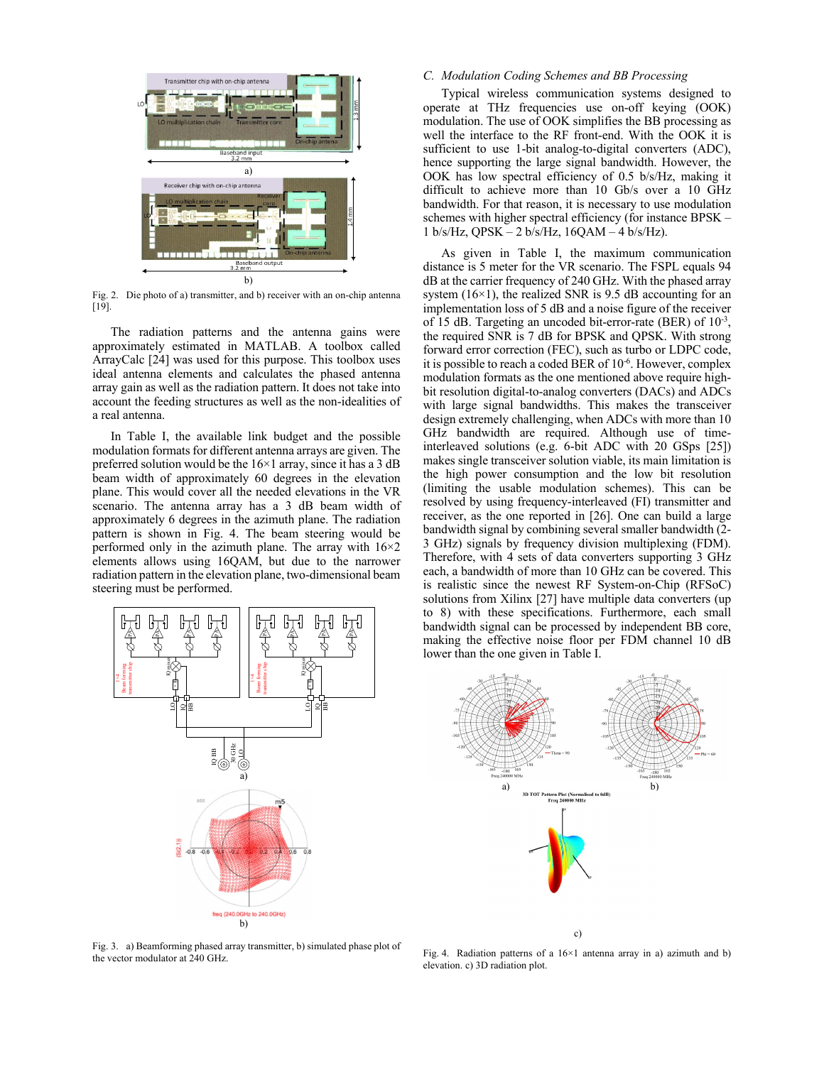

Fig. 2. Die photo of a) transmitter, and b) receiver with an on-chip antenna [19].

The radiation patterns and the antenna gains were approximately estimated in MATLAB. A toolbox called ArrayCalc [24] was used for this purpose. This toolbox uses ideal antenna elements and calculates the phased antenna array gain as well as the radiation pattern. It does not take into account the feeding structures as well as the non-idealities of a real antenna.

In Table I, the available link budget and the possible modulation formats for different antenna arrays are given. The preferred solution would be the  $16\times1$  array, since it has a 3 dB beam width of approximately 60 degrees in the elevation plane. This would cover all the needed elevations in the VR scenario. The antenna array has a 3 dB beam width of approximately 6 degrees in the azimuth plane. The radiation pattern is shown in Fig. 4. The beam steering would be performed only in the azimuth plane. The array with  $16\times2$ elements allows using 16QAM, but due to the narrower radiation pattern in the elevation plane, two-dimensional beam steering must be performed.



Fig. 3. a) Beamforming phased array transmitter, b) simulated phase plot of the vector modulator at 240 GHz.

# *C. Modulation Coding Schemes and BB Processing*

Typical wireless communication systems designed to operate at THz frequencies use on-off keying (OOK) modulation. The use of OOK simplifies the BB processing as well the interface to the RF front-end. With the OOK it is sufficient to use 1-bit analog-to-digital converters (ADC), hence supporting the large signal bandwidth. However, the OOK has low spectral efficiency of 0.5 b/s/Hz, making it difficult to achieve more than 10 Gb/s over a 10 GHz bandwidth. For that reason, it is necessary to use modulation schemes with higher spectral efficiency (for instance BPSK – 1 b/s/Hz, QPSK – 2 b/s/Hz, 16QAM – 4 b/s/Hz).

As given in Table I, the maximum communication distance is 5 meter for the VR scenario. The FSPL equals 94 dB at the carrier frequency of 240 GHz. With the phased array system  $(16\times1)$ , the realized SNR is 9.5 dB accounting for an implementation loss of 5 dB and a noise figure of the receiver of 15 dB. Targeting an uncoded bit-error-rate (BER) of  $10^{-3}$ , the required SNR is 7 dB for BPSK and QPSK. With strong forward error correction (FEC), such as turbo or LDPC code, it is possible to reach a coded BER of 10-6. However, complex modulation formats as the one mentioned above require highbit resolution digital-to-analog converters (DACs) and ADCs with large signal bandwidths. This makes the transceiver design extremely challenging, when ADCs with more than 10 GHz bandwidth are required. Although use of timeinterleaved solutions (e.g. 6-bit ADC with 20 GSps [25]) makes single transceiver solution viable, its main limitation is the high power consumption and the low bit resolution (limiting the usable modulation schemes). This can be resolved by using frequency-interleaved (FI) transmitter and receiver, as the one reported in [26]. One can build a large bandwidth signal by combining several smaller bandwidth (2- 3 GHz) signals by frequency division multiplexing (FDM). Therefore, with 4 sets of data converters supporting 3 GHz each, a bandwidth of more than 10 GHz can be covered. This is realistic since the newest RF System-on-Chip (RFSoC) solutions from Xilinx [27] have multiple data converters (up to 8) with these specifications. Furthermore, each small bandwidth signal can be processed by independent BB core, making the effective noise floor per FDM channel 10 dB lower than the one given in Table I.



Fig. 4. Radiation patterns of a 16×1 antenna array in a) azimuth and b) elevation. c) 3D radiation plot.